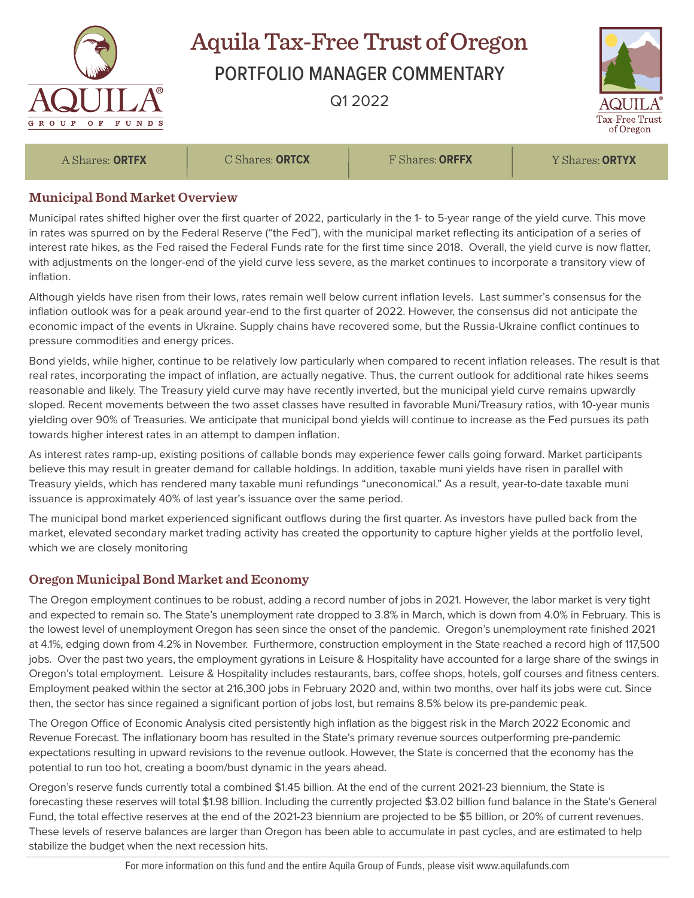

## Aquila Tax-Free Trust of Oregon

PORTFOLIO MANAGER COMMENTARY

Q1 2022



A Shares: **ORTFX** C Shares: **ORTCX** F Shares: **ORFFX** Y Shares: **ORTYX**

## **Municipal Bond Market Overview**

Municipal rates shifted higher over the first quarter of 2022, particularly in the 1- to 5-year range of the yield curve. This move in rates was spurred on by the Federal Reserve ("the Fed"), with the municipal market reflecting its anticipation of a series of interest rate hikes, as the Fed raised the Federal Funds rate for the first time since 2018. Overall, the yield curve is now flatter, with adjustments on the longer-end of the yield curve less severe, as the market continues to incorporate a transitory view of inflation.

Although yields have risen from their lows, rates remain well below current inflation levels. Last summer's consensus for the inflation outlook was for a peak around year-end to the first quarter of 2022. However, the consensus did not anticipate the economic impact of the events in Ukraine. Supply chains have recovered some, but the Russia-Ukraine conflict continues to pressure commodities and energy prices.

Bond yields, while higher, continue to be relatively low particularly when compared to recent inflation releases. The result is that real rates, incorporating the impact of inflation, are actually negative. Thus, the current outlook for additional rate hikes seems reasonable and likely. The Treasury yield curve may have recently inverted, but the municipal yield curve remains upwardly sloped. Recent movements between the two asset classes have resulted in favorable Muni/Treasury ratios, with 10-year munis yielding over 90% of Treasuries. We anticipate that municipal bond yields will continue to increase as the Fed pursues its path towards higher interest rates in an attempt to dampen inflation.

As interest rates ramp-up, existing positions of callable bonds may experience fewer calls going forward. Market participants believe this may result in greater demand for callable holdings. In addition, taxable muni yields have risen in parallel with Treasury yields, which has rendered many taxable muni refundings "uneconomical." As a result, year-to-date taxable muni issuance is approximately 40% of last year's issuance over the same period.

The municipal bond market experienced significant outflows during the first quarter. As investors have pulled back from the market, elevated secondary market trading activity has created the opportunity to capture higher yields at the portfolio level, which we are closely monitoring

## **Oregon Municipal Bond Market and Economy**

The Oregon employment continues to be robust, adding a record number of jobs in 2021. However, the labor market is very tight and expected to remain so. The State's unemployment rate dropped to 3.8% in March, which is down from 4.0% in February. This is the lowest level of unemployment Oregon has seen since the onset of the pandemic. Oregon's unemployment rate finished 2021 at 4.1%, edging down from 4.2% in November. Furthermore, construction employment in the State reached a record high of 117,500 jobs. Over the past two years, the employment gyrations in Leisure & Hospitality have accounted for a large share of the swings in Oregon's total employment. Leisure & Hospitality includes restaurants, bars, coffee shops, hotels, golf courses and fitness centers. Employment peaked within the sector at 216,300 jobs in February 2020 and, within two months, over half its jobs were cut. Since then, the sector has since regained a significant portion of jobs lost, but remains 8.5% below its pre-pandemic peak.

The Oregon Office of Economic Analysis cited persistently high inflation as the biggest risk in the March 2022 Economic and Revenue Forecast. The inflationary boom has resulted in the State's primary revenue sources outperforming pre-pandemic expectations resulting in upward revisions to the revenue outlook. However, the State is concerned that the economy has the potential to run too hot, creating a boom/bust dynamic in the years ahead.

Oregon's reserve funds currently total a combined \$1.45 billion. At the end of the current 2021-23 biennium, the State is forecasting these reserves will total \$1.98 billion. Including the currently projected \$3.02 billion fund balance in the State's General Fund, the total effective reserves at the end of the 2021-23 biennium are projected to be \$5 billion, or 20% of current revenues. These levels of reserve balances are larger than Oregon has been able to accumulate in past cycles, and are estimated to help stabilize the budget when the next recession hits.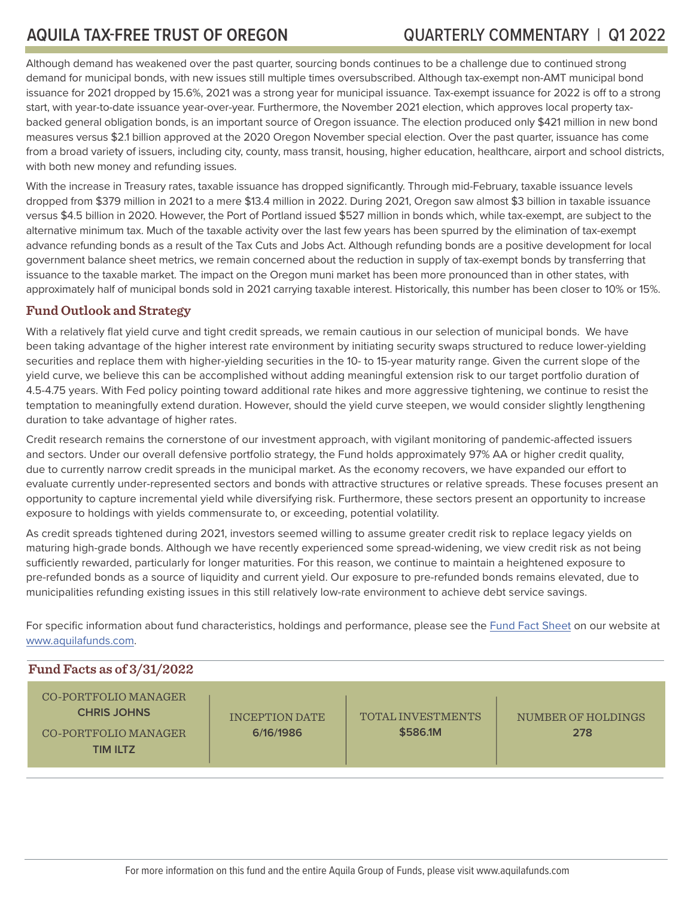Although demand has weakened over the past quarter, sourcing bonds continues to be a challenge due to continued strong demand for municipal bonds, with new issues still multiple times oversubscribed. Although tax-exempt non-AMT municipal bond issuance for 2021 dropped by 15.6%, 2021 was a strong year for municipal issuance. Tax-exempt issuance for 2022 is off to a strong start, with year-to-date issuance year-over-year. Furthermore, the November 2021 election, which approves local property taxbacked general obligation bonds, is an important source of Oregon issuance. The election produced only \$421 million in new bond measures versus \$2.1 billion approved at the 2020 Oregon November special election. Over the past quarter, issuance has come from a broad variety of issuers, including city, county, mass transit, housing, higher education, healthcare, airport and school districts, with both new money and refunding issues.

With the increase in Treasury rates, taxable issuance has dropped significantly. Through mid-February, taxable issuance levels dropped from \$379 million in 2021 to a mere \$13.4 million in 2022. During 2021, Oregon saw almost \$3 billion in taxable issuance versus \$4.5 billion in 2020. However, the Port of Portland issued \$527 million in bonds which, while tax-exempt, are subject to the alternative minimum tax. Much of the taxable activity over the last few years has been spurred by the elimination of tax-exempt advance refunding bonds as a result of the Tax Cuts and Jobs Act. Although refunding bonds are a positive development for local government balance sheet metrics, we remain concerned about the reduction in supply of tax-exempt bonds by transferring that issuance to the taxable market. The impact on the Oregon muni market has been more pronounced than in other states, with approximately half of municipal bonds sold in 2021 carrying taxable interest. Historically, this number has been closer to 10% or 15%.

## **Fund Outlook and Strategy**

With a relatively flat yield curve and tight credit spreads, we remain cautious in our selection of municipal bonds. We have been taking advantage of the higher interest rate environment by initiating security swaps structured to reduce lower-yielding securities and replace them with higher-yielding securities in the 10- to 15-year maturity range. Given the current slope of the yield curve, we believe this can be accomplished without adding meaningful extension risk to our target portfolio duration of 4.5-4.75 years. With Fed policy pointing toward additional rate hikes and more aggressive tightening, we continue to resist the temptation to meaningfully extend duration. However, should the yield curve steepen, we would consider slightly lengthening duration to take advantage of higher rates.

Credit research remains the cornerstone of our investment approach, with vigilant monitoring of pandemic-affected issuers and sectors. Under our overall defensive portfolio strategy, the Fund holds approximately 97% AA or higher credit quality, due to currently narrow credit spreads in the municipal market. As the economy recovers, we have expanded our effort to evaluate currently under-represented sectors and bonds with attractive structures or relative spreads. These focuses present an opportunity to capture incremental yield while diversifying risk. Furthermore, these sectors present an opportunity to increase exposure to holdings with yields commensurate to, or exceeding, potential volatility.

As credit spreads tightened during 2021, investors seemed willing to assume greater credit risk to replace legacy yields on maturing high-grade bonds. Although we have recently experienced some spread-widening, we view credit risk as not being sufficiently rewarded, particularly for longer maturities. For this reason, we continue to maintain a heightened exposure to pre-refunded bonds as a source of liquidity and current yield. Our exposure to pre-refunded bonds remains elevated, due to municipalities refunding existing issues in this still relatively low-rate environment to achieve debt service savings.

For specific information about fund characteristics, holdings and performance, please see the [Fund Fact Sheet](http://aquilafunds.com/wp-content/uploads/OR-Fact-Sheet.pdf) on our website at [www.aquilafunds.com](http://www.aquilafunds.com).

| Fund Facts as of $3/31/2022$                                                          |                             |                                      |                           |
|---------------------------------------------------------------------------------------|-----------------------------|--------------------------------------|---------------------------|
| CO-PORTFOLIO MANAGER<br><b>CHRIS JOHNS</b><br>CO-PORTFOLIO MANAGER<br><b>TIM ILTZ</b> | INCEPTION DATE<br>6/16/1986 | <b>TOTAL INVESTMENTS</b><br>\$586.1M | NUMBER OF HOLDINGS<br>278 |